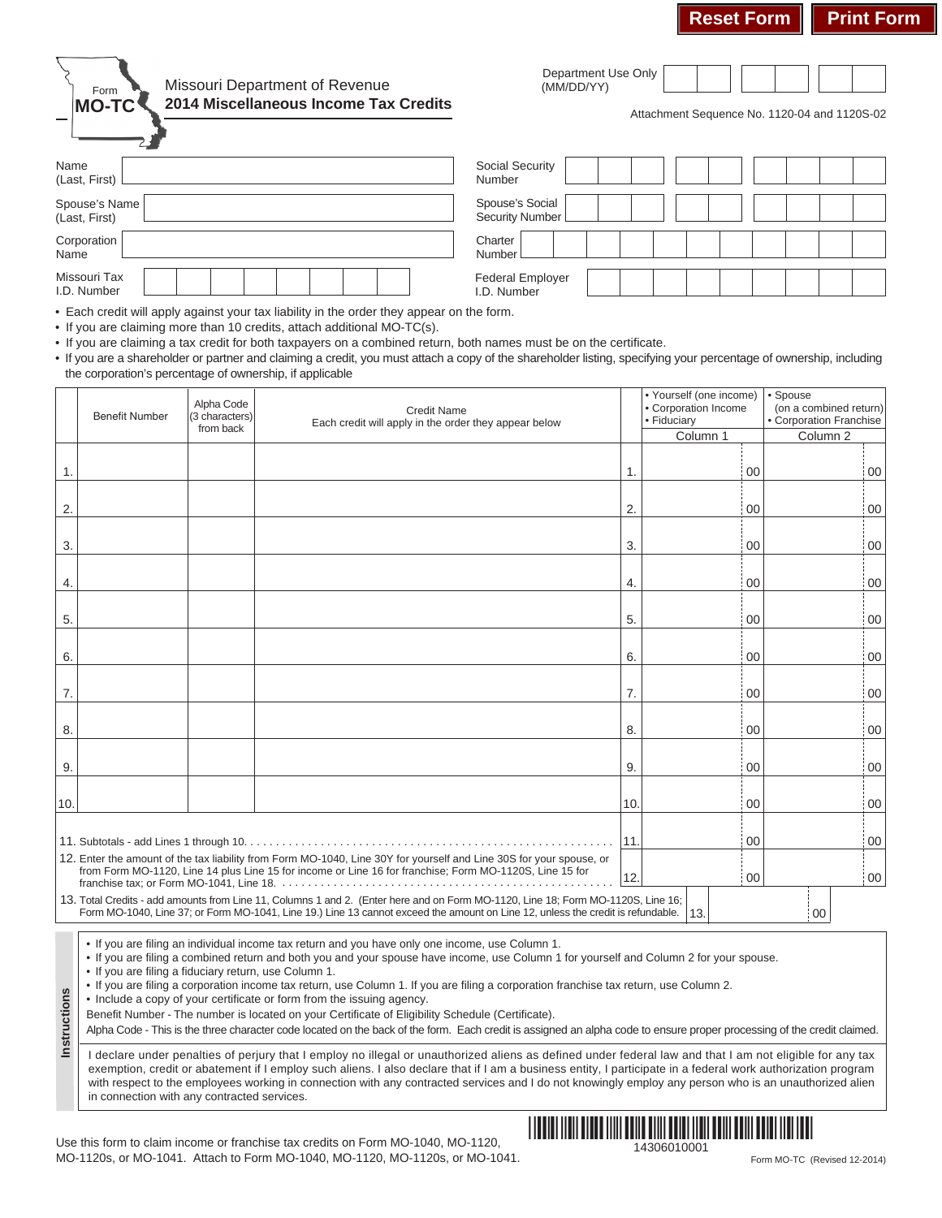

## Missouri Department of Revenue **2014 Miscellaneous Income Tax Credits**

Department Use Only (MM/DD/YY)

Attachment Sequence No. 1120-04 and 1120S-02

| Name                           | <b>Social Security</b>             |
|--------------------------------|------------------------------------|
| (Last, First)                  | Number                             |
| Spouse's Name<br>(Last, First) | Spouse's Social<br>Security Number |
| Corporation                    | Charter                            |
| Name                           | Number                             |
| Missouri Tax                   | <b>Federal Employer</b>            |
| I.D. Number                    | I.D. Number                        |

• Each credit will apply against your tax liability in the order they appear on the form.

• If you are claiming more than 10 credits, attach additional MO-TC(s).

• If you are claiming a tax credit for both taxpayers on a combined return, both names must be on the certificate.

• If you are a shareholder or partner and claiming a credit, you must attach a copy of the shareholder listing, specifying your percentage of ownership, including the corporation's percentage of ownership, if applicable

|                                                                                                                                                                                                                                | <b>Benefit Number</b>                                                                                                                                                                                                                                                            | Alpha Code<br>(3 characters) | Credit Name<br>Each credit will apply in the order they appear below |     | • Yourself (one income)<br>• Corporation Income<br>• Fiduciary | • Spouse<br>(on a combined return)<br>• Corporation Franchise |  |  |  |
|--------------------------------------------------------------------------------------------------------------------------------------------------------------------------------------------------------------------------------|----------------------------------------------------------------------------------------------------------------------------------------------------------------------------------------------------------------------------------------------------------------------------------|------------------------------|----------------------------------------------------------------------|-----|----------------------------------------------------------------|---------------------------------------------------------------|--|--|--|
|                                                                                                                                                                                                                                |                                                                                                                                                                                                                                                                                  | from back                    |                                                                      |     | Column 1                                                       | Column <sub>2</sub>                                           |  |  |  |
| 1.                                                                                                                                                                                                                             |                                                                                                                                                                                                                                                                                  |                              |                                                                      | 1.  | 00                                                             | i 00                                                          |  |  |  |
| 2.                                                                                                                                                                                                                             |                                                                                                                                                                                                                                                                                  |                              |                                                                      | 2.  | : 00                                                           | $\cdot$ 00                                                    |  |  |  |
| 3.                                                                                                                                                                                                                             |                                                                                                                                                                                                                                                                                  |                              |                                                                      | 3.  | 00                                                             | i 00                                                          |  |  |  |
| 4.                                                                                                                                                                                                                             |                                                                                                                                                                                                                                                                                  |                              |                                                                      | 4.  | 00                                                             | : 00                                                          |  |  |  |
| 5.                                                                                                                                                                                                                             |                                                                                                                                                                                                                                                                                  |                              |                                                                      | 5.  | 00                                                             | : 00                                                          |  |  |  |
| 6.                                                                                                                                                                                                                             |                                                                                                                                                                                                                                                                                  |                              |                                                                      | 6.  | 00                                                             | 00                                                            |  |  |  |
| 7.                                                                                                                                                                                                                             |                                                                                                                                                                                                                                                                                  |                              |                                                                      | 7.  | 00                                                             | $\frac{1}{2}00$                                               |  |  |  |
| 8.                                                                                                                                                                                                                             |                                                                                                                                                                                                                                                                                  |                              |                                                                      | 8.  | 00                                                             | 00 i                                                          |  |  |  |
| 9.                                                                                                                                                                                                                             |                                                                                                                                                                                                                                                                                  |                              |                                                                      | 9.  | 00                                                             | : 00                                                          |  |  |  |
| 10.                                                                                                                                                                                                                            |                                                                                                                                                                                                                                                                                  |                              |                                                                      | 10. | : 00                                                           | .00                                                           |  |  |  |
|                                                                                                                                                                                                                                |                                                                                                                                                                                                                                                                                  |                              |                                                                      | 11. | 0 <sub>0</sub>                                                 | 00                                                            |  |  |  |
| 12. Enter the amount of the tax liability from Form MO-1040, Line 30Y for yourself and Line 30S for your spouse, or<br>from Form MO-1120, Line 14 plus Line 15 for income or Line 16 for franchise; Form MO-1120S, Line 15 for |                                                                                                                                                                                                                                                                                  |                              |                                                                      |     | 00                                                             | : 00                                                          |  |  |  |
|                                                                                                                                                                                                                                | 13. Total Credits - add amounts from Line 11, Columns 1 and 2. (Enter here and on Form MO-1120, Line 18; Form MO-1120S, Line 16;<br>Form MO-1040, Line 37; or Form MO-1041, Line 19.) Line 13 cannot exceed the amount on Line 12, unless the credit is refundable.<br>13.<br>00 |                              |                                                                      |     |                                                                |                                                               |  |  |  |

• If you are filing an individual income tax return and you have only one income, use Column 1.

• If you are filing a combined return and both you and your spouse have income, use Column 1 for yourself and Column 2 for your spouse.

• If you are filing a fiduciary return, use Column 1.

**Instructions**

Instructions

• If you are filing a corporation income tax return, use Column 1. If you are filing a corporation franchise tax return, use Column 2.

• Include a copy of your certificate or form from the issuing agency.

Benefit Number - The number is located on your Certificate of Eligibility Schedule (Certificate).

Alpha Code - This is the three character code located on the back of the form. Each credit is assigned an alpha code to ensure proper processing of the credit claimed.

I declare under penalties of perjury that I employ no illegal or unauthorized aliens as defined under federal law and that I am not eligible for any tax exemption, credit or abatement if I employ such aliens. I also declare that if I am a business entity, I participate in a federal work authorization program with respect to the employees working in connection with any contracted services and I do not knowingly employ any person who is an unauthorized alien in connection with any contracted services.

14306010001 Use this form to claim income or franchise tax credits on Form MO-1040, MO-1120, MO-1120s, or MO-1041. Attach to Form MO-1040, MO-1120, MO-1120s, or MO-1041.

<u>\*1111 | 11111 | 11111 | 11111 | 11111</u>

Form MO-TC (Revised 12-2014)